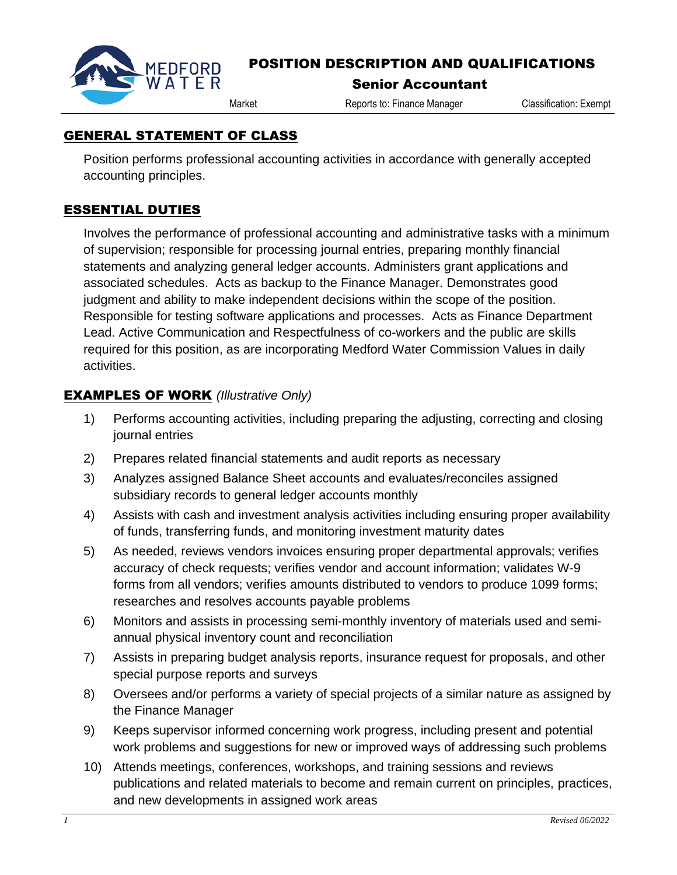

# POSITION DESCRIPTION AND QUALIFICATIONS

#### Senior Accountant

Market Reports to: Finance Manager Classification: Exempt

### GENERAL STATEMENT OF CLASS

Position performs professional accounting activities in accordance with generally accepted accounting principles.

## ESSENTIAL DUTIES

Involves the performance of professional accounting and administrative tasks with a minimum of supervision; responsible for processing journal entries, preparing monthly financial statements and analyzing general ledger accounts. Administers grant applications and associated schedules. Acts as backup to the Finance Manager. Demonstrates good judgment and ability to make independent decisions within the scope of the position. Responsible for testing software applications and processes. Acts as Finance Department Lead. Active Communication and Respectfulness of co-workers and the public are skills required for this position, as are incorporating Medford Water Commission Values in daily activities.

### EXAMPLES OF WORK *(Illustrative Only)*

- 1) Performs accounting activities, including preparing the adjusting, correcting and closing journal entries
- 2) Prepares related financial statements and audit reports as necessary
- 3) Analyzes assigned Balance Sheet accounts and evaluates/reconciles assigned subsidiary records to general ledger accounts monthly
- 4) Assists with cash and investment analysis activities including ensuring proper availability of funds, transferring funds, and monitoring investment maturity dates
- 5) As needed, reviews vendors invoices ensuring proper departmental approvals; verifies accuracy of check requests; verifies vendor and account information; validates W-9 forms from all vendors; verifies amounts distributed to vendors to produce 1099 forms; researches and resolves accounts payable problems
- 6) Monitors and assists in processing semi-monthly inventory of materials used and semiannual physical inventory count and reconciliation
- 7) Assists in preparing budget analysis reports, insurance request for proposals, and other special purpose reports and surveys
- 8) Oversees and/or performs a variety of special projects of a similar nature as assigned by the Finance Manager
- 9) Keeps supervisor informed concerning work progress, including present and potential work problems and suggestions for new or improved ways of addressing such problems
- 10) Attends meetings, conferences, workshops, and training sessions and reviews publications and related materials to become and remain current on principles, practices, and new developments in assigned work areas